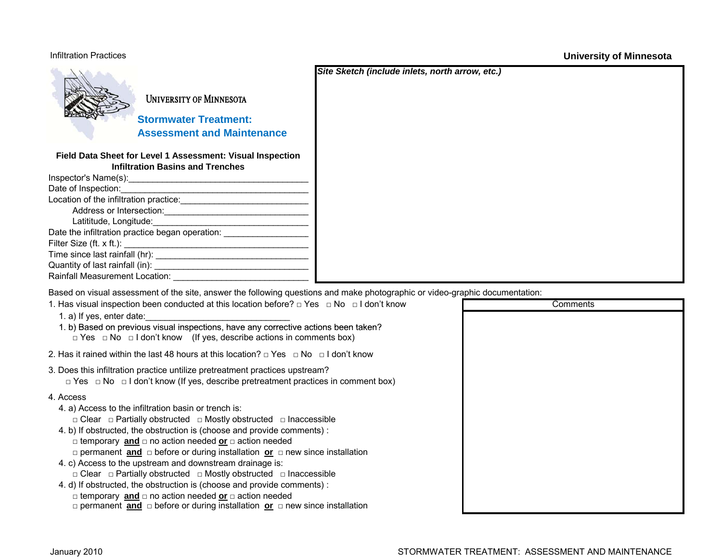## Infiltration Practices

**University of Minnesota**



UNIVERSITY OF MINNESOTA

*Stormwater Treatment:*  **Assessment and Maintenance**

**Field Data Sheet for Level 1 Assessment: Visual Inspection Infiltration Basins and Trenches**

| Date of Inspection:                             |
|-------------------------------------------------|
| Location of the infiltration practice:          |
| Address or Intersection:                        |
| Latititude, Longitude:                          |
| Date the infiltration practice began operation: |
|                                                 |
|                                                 |
| Quantity of last rainfall (in):                 |
| Rainfall Measurement Location:                  |
|                                                 |

Based on visual assessment of the site, answer the following questions and make photographic or video-graphic documentation:

| 1. Has visual inspection been conducted at this location before? $\Box$ Yes $\Box$ No $\Box$ I don't know                                                          | Comments |
|--------------------------------------------------------------------------------------------------------------------------------------------------------------------|----------|
| 1. a) If yes, enter date:                                                                                                                                          |          |
| 1. b) Based on previous visual inspections, have any corrective actions been taken?                                                                                |          |
| $\Box$ Yes $\Box$ No $\Box$ I don't know (If yes, describe actions in comments box)                                                                                |          |
| 2. Has it rained within the last 48 hours at this location? $\Box$ Yes $\Box$ No $\Box$ I don't know                                                               |          |
| 3. Does this infiltration practice untilize pretreatment practices upstream?                                                                                       |          |
| $\Box$ Yes $\Box$ No $\Box$ I don't know (If yes, describe pretreatment practices in comment box)                                                                  |          |
| 4. Access                                                                                                                                                          |          |
| 4. a) Access to the infiltration basin or trench is:                                                                                                               |          |
| $\Box$ Clear $\Box$ Partially obstructed $\Box$ Mostly obstructed $\Box$ Inaccessible                                                                              |          |
| 4. b) If obstructed, the obstruction is (choose and provide comments):                                                                                             |          |
| $\Box$ temporary and $\Box$ no action needed or $\Box$ action needed                                                                                               |          |
| $\Box$ permanent and $\Box$ before or during installation or $\Box$ new since installation                                                                         |          |
| 4. c) Access to the upstream and downstream drainage is:                                                                                                           |          |
| $\Box$ Clear $\Box$ Partially obstructed $\Box$ Mostly obstructed $\Box$ Inaccessible                                                                              |          |
| 4. d) If obstructed, the obstruction is (choose and provide comments) :                                                                                            |          |
| $\Box$ temporary and $\Box$ no action needed or $\Box$ action needed<br>$\Box$ permanent and $\Box$ before or during installation or $\Box$ new since installation |          |
|                                                                                                                                                                    |          |

*Site Sketch (include inlets, north arrow, etc.)*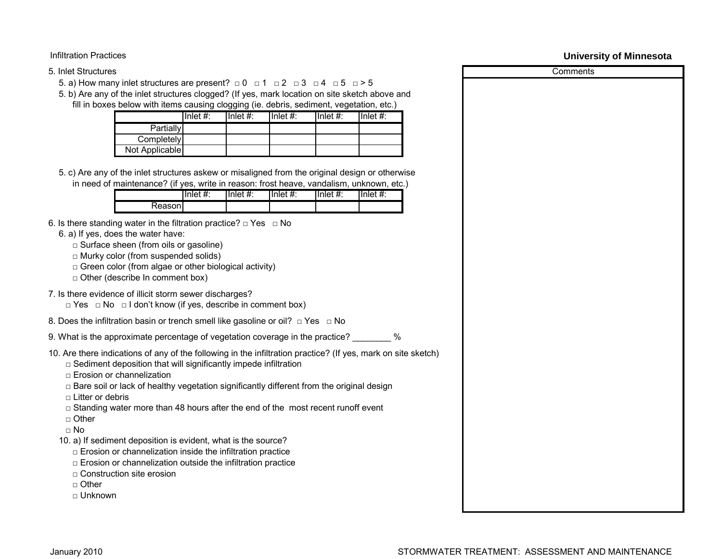Infiltration Practices

## 5. Inlet Structures

5. a) How many inlet structures are present?  $\Box$  0  $\Box$  1  $\Box$  2  $\Box$  3  $\Box$  4  $\Box$  5  $\Box$  > 5

5. b) Are any of the inlet structures clogged? (If yes, mark location on site sketch above and fill in boxes below with items causing clogging (ie. debris, sediment, vegetation, etc.)

|                | Inlet $#$ : | $I$ Inlet #: | Inlet $#$ : | Inlet $#$ : | Inlet $#$ : |
|----------------|-------------|--------------|-------------|-------------|-------------|
| Partially      |             |              |             |             |             |
| Completely     |             |              |             |             |             |
| Not Applicable |             |              |             |             |             |

5. c) Are any of the inlet structures askew or misaligned from the original design or otherwise in need of maintenance? (if yes, write in reason: frost heave, vandalism, unknown, etc.)

| .       |             | _____       | .<br>____               | ______              | ____  |
|---------|-------------|-------------|-------------------------|---------------------|-------|
|         | 'nle∟<br>π. | Inlet<br>π. | Inlet<br>$^{\pi}$<br>π. | ılnlet.<br>±۰<br>π. | Inlet |
| Reasonl |             |             |                         |                     |       |

- 6. Is there standing water in the filtration practice?  $\Box$  Yes  $\Box$  No
	- 6. a) If yes, does the water have:
		- $\square$  Surface sheen (from oils or gasoline)
		- $\Box$  Murky color (from suspended solids)
		- $\Box$  Green color (from algae or other biological activity)
		- $\Box$  Other (describe In comment box)
- 7. Is there evidence of illicit storm sewer discharges?
	- □ Yes □ No □ I don't know (if yes, describe in comment box)
- 8. Does the infiltration basin or trench smell like gasoline or oil?  $\Box$  Yes  $\Box$  No

9. What is the approximate percentage of vegetation coverage in the practice? \_\_\_\_\_\_\_\_ %

- 10. Are there indications of any of the following in the infiltration practice? (If yes, mark on site sketch)
	- $\Box$  Sediment deposition that will significantly impede infiltration
	- $\Box$  Erosion or channelization
	- $\Box$  Bare soil or lack of healthy vegetation significantly different from the original design
	- $\Box$  Litter or debris
	- $\Box$  Standing water more than 48 hours after the end of the most recent runoff event
	- □ Other
	- $\neg$  No
	- 10. a) If sediment deposition is evident, what is the source?
		- $\Box$  Erosion or channelization inside the infiltration practice
		- $\Box$  Erosion or channelization outside the infiltration practice
		- $\Box$  Construction site erosion
		- □ Other
		- □ Unknown

**University of Minnesota**

**Comments**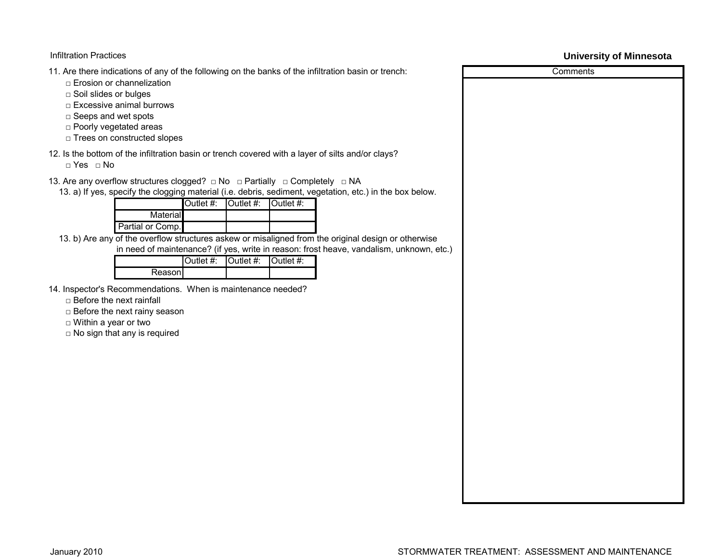## Infiltration Practices

11. Are there indications of any of the following on the banks of the infiltration basin or trench:

- □ Erosion or channelization
- □ Soil slides or bulges
- □ Excessive animal burrows
- □ Seeps and wet spots
- □ Poorly vegetated areas
- □ Trees on constructed slopes

12. Is the bottom of the infiltration basin or trench covered with a layer of silts and/or clays?

□ Yes □ No

- 13. Are any overflow structures clogged? □ No □ Partially □ Completely □ NA
	- 13. a) If yes, specify the clogging material (i.e. debris, sediment, vegetation, etc.) in the box below.

|                  | Outlet #: $\vert$ Outlet #: $\vert$ Outlet #: |  |
|------------------|-----------------------------------------------|--|
| Material         |                                               |  |
| Partial or Comp. |                                               |  |

13. b) Are any of the overflow structures askew or misaligned from the original design or otherwise in need of maintenance? (if yes, write in reason: frost heave, vandalism, unknown, etc.)

|         | <b>Outlet #:</b> $\bullet$ Outlet #: $\bullet$ Outlet #: |  |
|---------|----------------------------------------------------------|--|
| Reasonl |                                                          |  |

- 14. Inspector's Recommendations. When is maintenance needed?
	- □ Before the next rainfall
	- □ Before the next rainy season
	- □ Within a year or two
	- □ No sign that any is required

## **University of Minnesota**

Comments